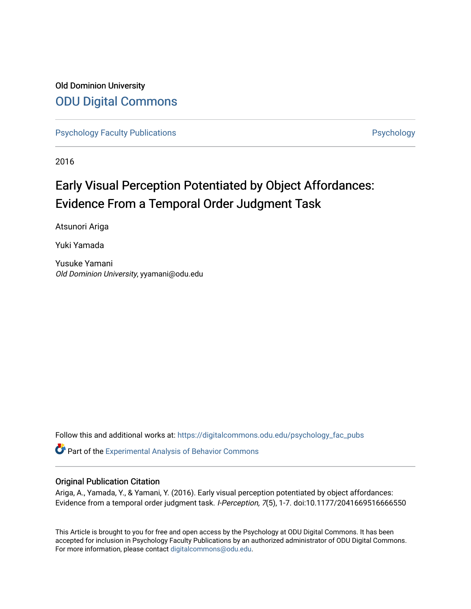### Old Dominion University [ODU Digital Commons](https://digitalcommons.odu.edu/)

[Psychology Faculty Publications](https://digitalcommons.odu.edu/psychology_fac_pubs) **Psychology** Psychology

2016

## Early Visual Perception Potentiated by Object Affordances: Evidence From a Temporal Order Judgment Task

Atsunori Ariga

Yuki Yamada

Yusuke Yamani Old Dominion University, yyamani@odu.edu

Follow this and additional works at: [https://digitalcommons.odu.edu/psychology\\_fac\\_pubs](https://digitalcommons.odu.edu/psychology_fac_pubs?utm_source=digitalcommons.odu.edu%2Fpsychology_fac_pubs%2F11&utm_medium=PDF&utm_campaign=PDFCoverPages)

Part of the [Experimental Analysis of Behavior Commons](http://network.bepress.com/hgg/discipline/1236?utm_source=digitalcommons.odu.edu%2Fpsychology_fac_pubs%2F11&utm_medium=PDF&utm_campaign=PDFCoverPages) 

#### Original Publication Citation

Ariga, A., Yamada, Y., & Yamani, Y. (2016). Early visual perception potentiated by object affordances: Evidence from a temporal order judgment task. I-Perception, 7(5), 1-7. doi:10.1177/2041669516666550

This Article is brought to you for free and open access by the Psychology at ODU Digital Commons. It has been accepted for inclusion in Psychology Faculty Publications by an authorized administrator of ODU Digital Commons. For more information, please contact [digitalcommons@odu.edu](mailto:digitalcommons@odu.edu).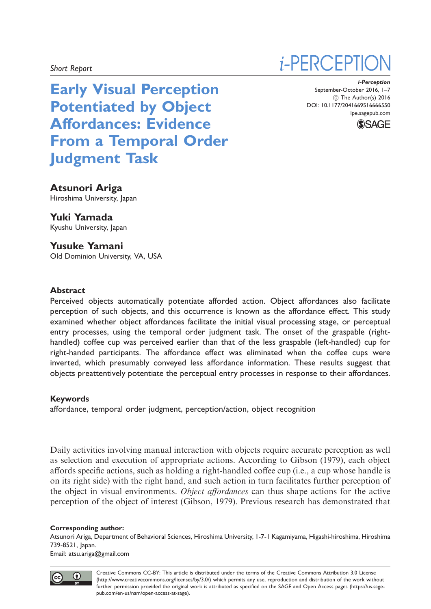Early Visual Perception Potentiated by Object Affordances: Evidence From a Temporal Order Judgment Task

# *i*-PERCEPTI

i-Perception September-October 2016, 1–7 (C) The Author(s) 2016 DOI: 10.1177/2041669516666550 ipe.sagepub.com



#### Atsunori Ariga

Hiroshima University, Japan

Yuki Yamada

Kyushu University, Japan

Yusuke Yamani Old Dominion University, VA, USA

#### Abstract

Perceived objects automatically potentiate afforded action. Object affordances also facilitate perception of such objects, and this occurrence is known as the affordance effect. This study examined whether object affordances facilitate the initial visual processing stage, or perceptual entry processes, using the temporal order judgment task. The onset of the graspable (righthandled) coffee cup was perceived earlier than that of the less graspable (left-handled) cup for right-handed participants. The affordance effect was eliminated when the coffee cups were inverted, which presumably conveyed less affordance information. These results suggest that objects preattentively potentiate the perceptual entry processes in response to their affordances.

#### Keywords

affordance, temporal order judgment, perception/action, object recognition

Daily activities involving manual interaction with objects require accurate perception as well as selection and execution of appropriate actions. According to Gibson (1979), each object affords specific actions, such as holding a right-handled coffee cup (i.e., a cup whose handle is on its right side) with the right hand, and such action in turn facilitates further perception of the object in visual environments. Object affordances can thus shape actions for the active perception of the object of interest (Gibson, 1979). Previous research has demonstrated that

#### Corresponding author:

Atsunori Ariga, Department of Behavioral Sciences, Hiroshima University, 1-7-1 Kagamiyama, Higashi-hiroshima, Hiroshima 739-8521, Japan. Email: atsu.ariga@gmail.com



 $\bf o$ (cc

Creative Commons CC-BY: This article is distributed under the terms of the Creative Commons Attribution 3.0 License (http://www.creativecommons.org/licenses/by/3.0/) which permits any use, reproduction and distribution of the work without further permission provided the original work is attributed as specified on the SAGE and Open Access pages (https://us.sagepub.com/en-us/nam/open-access-at-sage).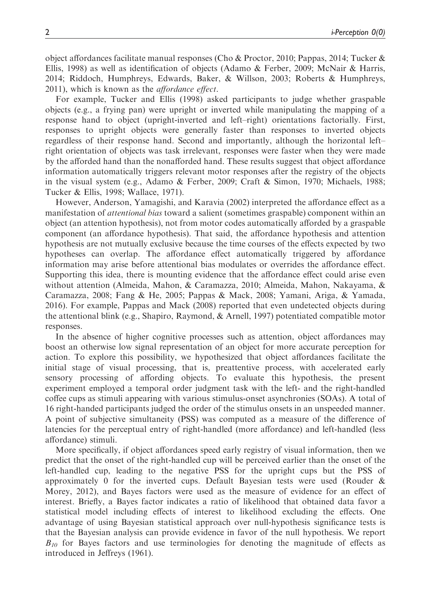object affordances facilitate manual responses (Cho & Proctor, 2010; Pappas, 2014; Tucker & Ellis, 1998) as well as identification of objects (Adamo & Ferber, 2009; McNair & Harris, 2014; Riddoch, Humphreys, Edwards, Baker, & Willson, 2003; Roberts & Humphreys, 2011), which is known as the affordance effect.

For example, Tucker and Ellis (1998) asked participants to judge whether graspable objects (e.g., a frying pan) were upright or inverted while manipulating the mapping of a response hand to object (upright-inverted and left–right) orientations factorially. First, responses to upright objects were generally faster than responses to inverted objects regardless of their response hand. Second and importantly, although the horizontal left– right orientation of objects was task irrelevant, responses were faster when they were made by the afforded hand than the nonafforded hand. These results suggest that object affordance information automatically triggers relevant motor responses after the registry of the objects in the visual system (e.g., Adamo & Ferber, 2009; Craft & Simon, 1970; Michaels, 1988; Tucker & Ellis, 1998; Wallace, 1971).

However, Anderson, Yamagishi, and Karavia (2002) interpreted the affordance effect as a manifestation of *attentional bias* toward a salient (sometimes graspable) component within an object (an attention hypothesis), not from motor codes automatically afforded by a graspable component (an affordance hypothesis). That said, the affordance hypothesis and attention hypothesis are not mutually exclusive because the time courses of the effects expected by two hypotheses can overlap. The affordance effect automatically triggered by affordance information may arise before attentional bias modulates or overrides the affordance effect. Supporting this idea, there is mounting evidence that the affordance effect could arise even without attention (Almeida, Mahon, & Caramazza, 2010; Almeida, Mahon, Nakayama, & Caramazza, 2008; Fang & He, 2005; Pappas & Mack, 2008; Yamani, Ariga, & Yamada, 2016). For example, Pappas and Mack (2008) reported that even undetected objects during the attentional blink (e.g., Shapiro, Raymond, & Arnell, 1997) potentiated compatible motor responses.

In the absence of higher cognitive processes such as attention, object affordances may boost an otherwise low signal representation of an object for more accurate perception for action. To explore this possibility, we hypothesized that object affordances facilitate the initial stage of visual processing, that is, preattentive process, with accelerated early sensory processing of affording objects. To evaluate this hypothesis, the present experiment employed a temporal order judgment task with the left- and the right-handled coffee cups as stimuli appearing with various stimulus-onset asynchronies (SOAs). A total of 16 right-handed participants judged the order of the stimulus onsets in an unspeeded manner. A point of subjective simultaneity (PSS) was computed as a measure of the difference of latencies for the perceptual entry of right-handled (more affordance) and left-handled (less affordance) stimuli.

More specifically, if object affordances speed early registry of visual information, then we predict that the onset of the right-handled cup will be perceived earlier than the onset of the left-handled cup, leading to the negative PSS for the upright cups but the PSS of approximately 0 for the inverted cups. Default Bayesian tests were used (Rouder & Morey, 2012), and Bayes factors were used as the measure of evidence for an effect of interest. Briefly, a Bayes factor indicates a ratio of likelihood that obtained data favor a statistical model including effects of interest to likelihood excluding the effects. One advantage of using Bayesian statistical approach over null-hypothesis significance tests is that the Bayesian analysis can provide evidence in favor of the null hypothesis. We report  $B_{10}$  for Bayes factors and use terminologies for denoting the magnitude of effects as introduced in Jeffreys (1961).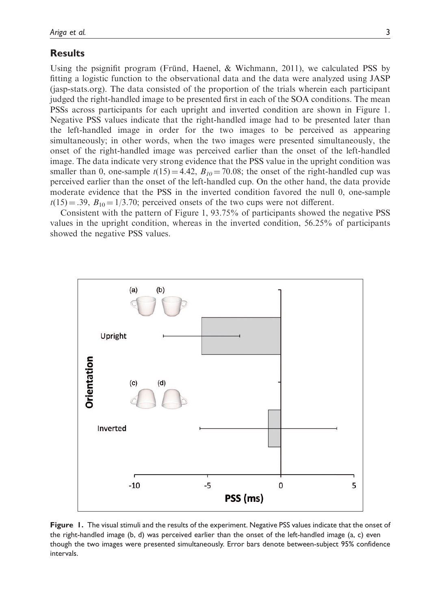#### **Results**

Using the psignifit program (Fründ, Haenel,  $\&$  Wichmann, 2011), we calculated PSS by fitting a logistic function to the observational data and the data were analyzed using JASP (jasp-stats.org). The data consisted of the proportion of the trials wherein each participant judged the right-handled image to be presented first in each of the SOA conditions. The mean PSSs across participants for each upright and inverted condition are shown in Figure 1. Negative PSS values indicate that the right-handled image had to be presented later than the left-handled image in order for the two images to be perceived as appearing simultaneously; in other words, when the two images were presented simultaneously, the onset of the right-handled image was perceived earlier than the onset of the left-handled image. The data indicate very strong evidence that the PSS value in the upright condition was smaller than 0, one-sample  $t(15) = 4.42$ ,  $B_{10} = 70.08$ ; the onset of the right-handled cup was perceived earlier than the onset of the left-handled cup. On the other hand, the data provide moderate evidence that the PSS in the inverted condition favored the null 0, one-sample  $t(15) = .39$ ,  $B_{10} = 1/3.70$ ; perceived onsets of the two cups were not different.

Consistent with the pattern of Figure 1, 93.75% of participants showed the negative PSS values in the upright condition, whereas in the inverted condition, 56.25% of participants showed the negative PSS values.



Figure 1. The visual stimuli and the results of the experiment. Negative PSS values indicate that the onset of the right-handled image (b, d) was perceived earlier than the onset of the left-handled image (a, c) even though the two images were presented simultaneously. Error bars denote between-subject 95% confidence intervals.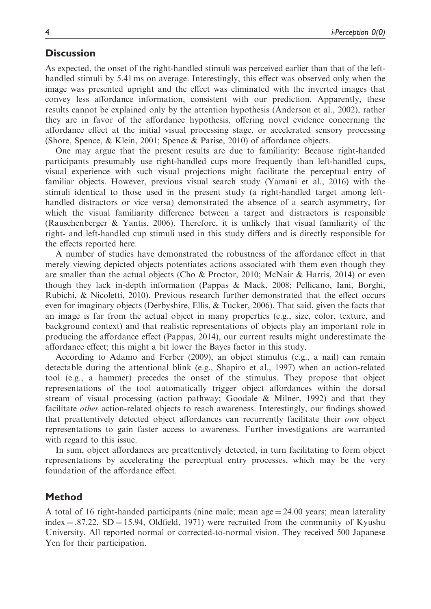#### **Discussion**

As expected, the onset of the right-handled stimuli was perceived earlier than that of the lefthandled stimuli by 5.41 ms on average. Interestingly, this effect was observed only when the image was presented upright and the effect was eliminated with the inverted images that convey less affordance information, consistent with our prediction. Apparently, these results cannot be explained only by the attention hypothesis (Anderson et al., 2002), rather they are in favor of the affordance hypothesis, offering novel evidence concerning the affordance effect at the initial visual processing stage, or accelerated sensory processing (Shore, Spence, & Klein, 2001; Spence & Parise, 2010) of affordance objects.

One may argue that the present results are due to familiarity: Because right-handed participants presumably use right-handled cups more frequently than left-handled cups, visual experience with such visual projections might facilitate the perceptual entry of familiar objects. However, previous visual search study (Yamani et al., 2016) with the stimuli identical to those used in the present study (a right-handled target among lefthandled distractors or vice versa) demonstrated the absence of a search asymmetry, for which the visual familiarity difference between a target and distractors is responsible (Rauschenberger & Yantis, 2006). Therefore, it is unlikely that visual familiarity of the right- and left-handled cup stimuli used in this study differs and is directly responsible for the effects reported here.

A number of studies have demonstrated the robustness of the affordance effect in that merely viewing depicted objects potentiates actions associated with them even though they are smaller than the actual objects (Cho & Proctor, 2010; McNair & Harris, 2014) or even though they lack in-depth information (Pappas & Mack, 2008; Pellicano, Iani, Borghi, Rubichi, & Nicoletti, 2010). Previous research further demonstrated that the effect occurs even for imaginary objects (Derbyshire, Ellis, & Tucker, 2006). That said, given the facts that an image is far from the actual object in many properties (e.g., size, color, texture, and background context) and that realistic representations of objects play an important role in producing the affordance effect (Pappas, 2014), our current results might underestimate the affordance effect; this might a bit lower the Bayes factor in this study.

According to Adamo and Ferber (2009), an object stimulus (e.g., a nail) can remain detectable during the attentional blink (e.g., Shapiro et al., 1997) when an action-related tool (e.g., a hammer) precedes the onset of the stimulus. They propose that object representations of the tool automatically trigger object affordances within the dorsal stream of visual processing (action pathway; Goodale & Milner, 1992) and that they facilitate other action-related objects to reach awareness. Interestingly, our findings showed that preattentively detected object affordances can recurrently facilitate their own object representations to gain faster access to awareness. Further investigations are warranted with regard to this issue.

In sum, object affordances are preattentively detected, in turn facilitating to form object representations by accelerating the perceptual entry processes, which may be the very foundation of the affordance effect.

#### Method

A total of 16 right-handed participants (nine male; mean age  $=$  24.00 years; mean laterality index  $= .87.22$ , SD  $= 15.94$ , Oldfield, 1971) were recruited from the community of Kyushu University. All reported normal or corrected-to-normal vision. They received 500 Japanese Yen for their participation.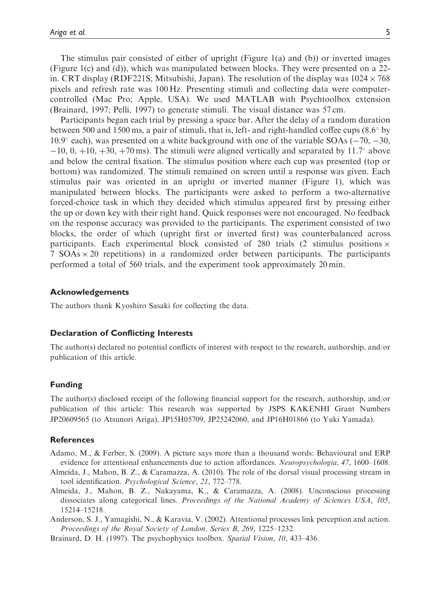The stimulus pair consisted of either of upright (Figure 1(a) and (b)) or inverted images (Figure 1(c) and (d)), which was manipulated between blocks. They were presented on a 22 in. CRT display (RDF221S; Mitsubishi, Japan). The resolution of the display was  $1024 \times 768$ pixels and refresh rate was 100 Hz. Presenting stimuli and collecting data were computercontrolled (Mac Pro; Apple, USA). We used MATLAB with Psychtoolbox extension (Brainard, 1997; Pelli, 1997) to generate stimuli. The visual distance was 57 cm.

Participants began each trial by pressing a space bar. After the delay of a random duration between 500 and 1500 ms, a pair of stimuli, that is, left- and right-handled coffee cups  $(8.6^{\circ}$  by 10.9 $\degree$  each), was presented on a white background with one of the variable SOAs (-70, -30,  $-10$ , 0,  $+10$ ,  $+30$ ,  $+70$  ms). The stimuli were aligned vertically and separated by 11.7° above and below the central fixation. The stimulus position where each cup was presented (top or bottom) was randomized. The stimuli remained on screen until a response was given. Each stimulus pair was oriented in an upright or inverted manner (Figure 1), which was manipulated between blocks. The participants were asked to perform a two-alternative forced-choice task in which they decided which stimulus appeared first by pressing either the up or down key with their right hand. Quick responses were not encouraged. No feedback on the response accuracy was provided to the participants. The experiment consisted of two blocks, the order of which (upright first or inverted first) was counterbalanced across participants. Each experimental block consisted of 280 trials (2 stimulus positions  $\times$  $7$  SOAs  $\times$  20 repetitions) in a randomized order between participants. The participants performed a total of 560 trials, and the experiment took approximately 20 min.

#### Acknowledgements

The authors thank Kyoshiro Sasaki for collecting the data.

#### Declaration of Conflicting Interests

The author(s) declared no potential conflicts of interest with respect to the research, authorship, and/or publication of this article.

#### Funding

The author(s) disclosed receipt of the following financial support for the research, authorship, and/or publication of this article: This research was supported by JSPS KAKENHI Grant Numbers JP20609565 (to Atsunori Ariga), JP15H05709, JP25242060, and JP16H01866 (to Yuki Yamada).

#### **References**

- Adamo, M., & Ferber, S. (2009). A picture says more than a thousand words: Behavioural and ERP evidence for attentional enhancements due to action affordances. Neuropsychologia, 47, 1600–1608.
- Almeida, J., Mahon, B. Z., & Caramazza, A. (2010). The role of the dorsal visual processing stream in tool identification. Psychological Science, 21, 772–778.
- Almeida, J., Mahon, B. Z., Nakayama, K., & Caramazza, A. (2008). Unconscious processing dissociates along categorical lines. Proceedings of the National Academy of Sciences USA, 105, 15214–15218.
- Anderson, S. J., Yamagishi, N., & Karavia, V. (2002). Attentional processes link perception and action. Proceedings of the Royal Society of London, Series B, 269, 1225–1232.
- Brainard, D. H. (1997). The psychophysics toolbox. Spatial Vision, 10, 433-436.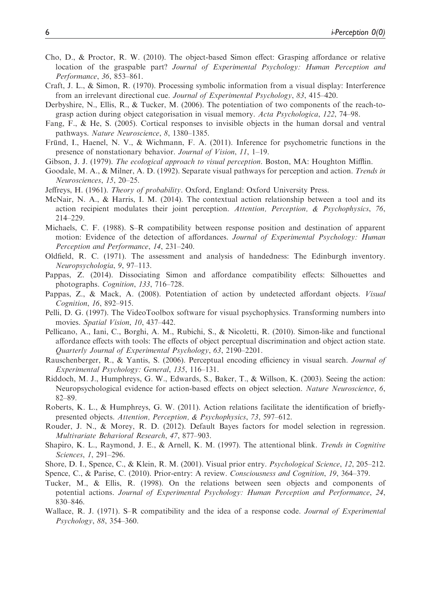- Cho, D., & Proctor, R. W. (2010). The object-based Simon effect: Grasping affordance or relative location of the graspable part? Journal of Experimental Psychology: Human Perception and Performance, 36, 853–861.
- Craft, J. L., & Simon, R. (1970). Processing symbolic information from a visual display: Interference from an irrelevant directional cue. Journal of Experimental Psychology, 83, 415–420.
- Derbyshire, N., Ellis, R., & Tucker, M. (2006). The potentiation of two components of the reach-tograsp action during object categorisation in visual memory. Acta Psychologica, 122, 74–98.
- Fang, F., & He, S. (2005). Cortical responses to invisible objects in the human dorsal and ventral pathways. Nature Neuroscience, 8, 1380–1385.
- Frund, I., Haenel, N. V., & Wichmann, F. A. (2011). Inference for psychometric functions in the presence of nonstationary behavior. Journal of Vision, 11, 1–19.
- Gibson, J. J. (1979). The ecological approach to visual perception. Boston, MA: Houghton Mifflin.
- Goodale, M. A., & Milner, A. D. (1992). Separate visual pathways for perception and action. Trends in Neurosciences, 15, 20–25.
- Jeffreys, H. (1961). Theory of probability. Oxford, England: Oxford University Press.
- McNair, N. A., & Harris, I. M. (2014). The contextual action relationship between a tool and its action recipient modulates their joint perception. Attention, Perception, & Psychophysics, 76, 214–229.
- Michaels, C. F. (1988). S–R compatibility between response position and destination of apparent motion: Evidence of the detection of affordances. Journal of Experimental Psychology: Human Perception and Performance, 14, 231–240.
- Oldfield, R. C. (1971). The assessment and analysis of handedness: The Edinburgh inventory. Neuropsychologia, 9, 97–113.
- Pappas, Z. (2014). Dissociating Simon and affordance compatibility effects: Silhouettes and photographs. Cognition, 133, 716–728.
- Pappas, Z., & Mack, A. (2008). Potentiation of action by undetected affordant objects. Visual Cognition, 16, 892–915.
- Pelli, D. G. (1997). The VideoToolbox software for visual psychophysics. Transforming numbers into movies. Spatial Vision, 10, 437–442.
- Pellicano, A., Iani, C., Borghi, A. M., Rubichi, S., & Nicoletti, R. (2010). Simon-like and functional affordance effects with tools: The effects of object perceptual discrimination and object action state. Quarterly Journal of Experimental Psychology, 63, 2190–2201.
- Rauschenberger, R., & Yantis, S. (2006). Perceptual encoding efficiency in visual search. Journal of Experimental Psychology: General, 135, 116–131.
- Riddoch, M. J., Humphreys, G. W., Edwards, S., Baker, T., & Willson, K. (2003). Seeing the action: Neuropsychological evidence for action-based effects on object selection. Nature Neuroscience, 6, 82–89.
- Roberts, K. L., & Humphreys, G. W. (2011). Action relations facilitate the identification of brieflypresented objects. Attention, Perception, & Psychophysics, 73, 597–612.
- Rouder, J. N., & Morey, R. D. (2012). Default Bayes factors for model selection in regression. Multivariate Behavioral Research, 47, 877–903.
- Shapiro, K. L., Raymond, J. E., & Arnell, K. M. (1997). The attentional blink. Trends in Cognitive Sciences, 1, 291–296.
- Shore, D. I., Spence, C., & Klein, R. M. (2001). Visual prior entry. Psychological Science, 12, 205–212.
- Spence, C., & Parise, C. (2010). Prior-entry: A review. Consciousness and Cognition, 19, 364–379.
- Tucker, M., & Ellis, R. (1998). On the relations between seen objects and components of potential actions. Journal of Experimental Psychology: Human Perception and Performance, 24, 830–846.
- Wallace, R. J. (1971). S–R compatibility and the idea of a response code. Journal of Experimental Psychology, 88, 354–360.